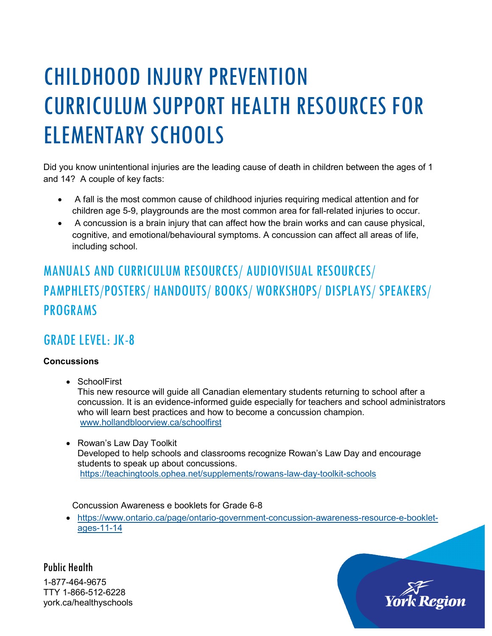# CHILDHOOD INJURY PREVENTION CURRICULUM SUPPORT HEALTH RESOURCES FOR ELEMENTARY SCHOOLS

Did you know unintentional injuries are the leading cause of death in children between the ages of 1 and 14? A couple of key facts:

- A fall is the most common cause of childhood injuries requiring medical attention and for children age 5-9, playgrounds are the most common area for fall-related injuries to occur.
- A concussion is a brain injury that can affect how the brain works and can cause physical, cognitive, and emotional/behavioural symptoms. A concussion can affect all areas of life, including school.

# MANUALS AND CURRICULUM RESOURCES/ AUDIOVISUAL RESOURCES/ PAMPHLETS/POSTERS/ HANDOUTS/ BOOKS/ WORKSHOPS/ DISPLAYS/ SPEAKERS/ PROGRAMS

## GRADE LEVEL: JK-8

#### **Concussions**

- SchoolFirst This new resource will guide all Canadian elementary students returning to school after a concussion. It is an evidence-informed guide especially for teachers and school administrators who will learn best practices and how to become a concussion champion. [www.hollandbloorview.ca/schoolfirst](http://www.hollandbloorview.ca/schoolfirst)
- Rowan's Law Day Toolkit Developed to help schools and classrooms recognize Rowan's Law Day and encourage students to speak up about concussions. <https://teachingtools.ophea.net/supplements/rowans-law-day-toolkit-schools>

Concussion Awareness e booklets for Grade 6-8

• [https://www.ontario.ca/page/ontario-government-concussion-awareness-resource-e-booklet](https://www.ontario.ca/page/ontario-government-concussion-awareness-resource-e-booklet-ages-11-14)[ages-11-14](https://www.ontario.ca/page/ontario-government-concussion-awareness-resource-e-booklet-ages-11-14)

Public Health 1-877-464-9675 TTY 1-866-512-6228 york.ca/healthyschools

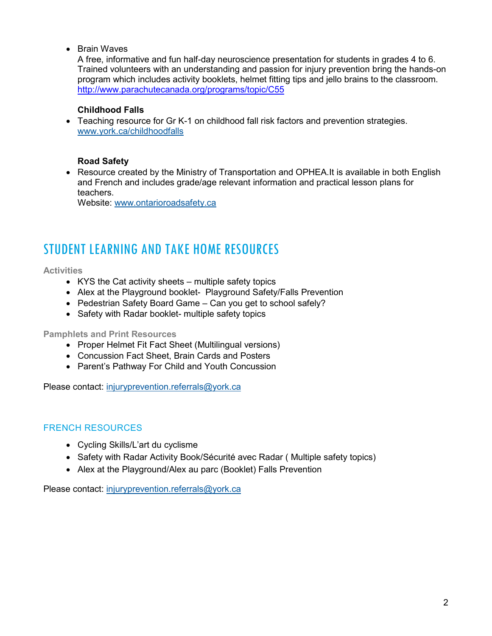#### • Brain Waves

A free, informative and fun half-day neuroscience presentation for students in grades 4 to 6. Trained volunteers with an understanding and passion for injury prevention bring the hands-on program which includes activity booklets, helmet fitting tips and jello brains to the classroom. <http://www.parachutecanada.org/programs/topic/C55>

#### **Childhood Falls**

• Teaching resource for Gr K-1 on childhood fall risk factors and prevention strategies. [www.york.ca/childhoodfalls](http://www.york.ca/childhoodfalls)

#### **Road Safety**

• Resource created by the Ministry of Transportation and OPHEA.It is available in both English and French and includes grade/age relevant information and practical lesson plans for teachers.

Website: [www.ontarioroadsafety.ca](http://www.ontarioroadsafety.ca/)

## STUDENT LEARNING AND TAKE HOME RESOURCES

#### **Activities**

- KYS the Cat activity sheets multiple safety topics
- Alex at the Playground booklet- Playground Safety/Falls Prevention
- Pedestrian Safety Board Game Can you get to school safely?
- Safety with Radar booklet- multiple safety topics

#### **Pamphlets and Print Resources**

- Proper Helmet Fit Fact Sheet (Multilingual versions)
- Concussion Fact Sheet, Brain Cards and Posters
- Parent's Pathway For Child and Youth Concussion

Please contact: [injuryprevention.referrals@york.ca](mailto:injuryprevention.referrals@york.ca)

#### FRENCH RESOURCES

- Cycling Skills/L'art du cyclisme
- Safety with Radar Activity Book/Sécurité avec Radar ( Multiple safety topics)
- Alex at the Playground/Alex au parc (Booklet) Falls Prevention

Please contact: [injuryprevention.referrals@york.ca](mailto:injuryprevention.referrals@york.ca)